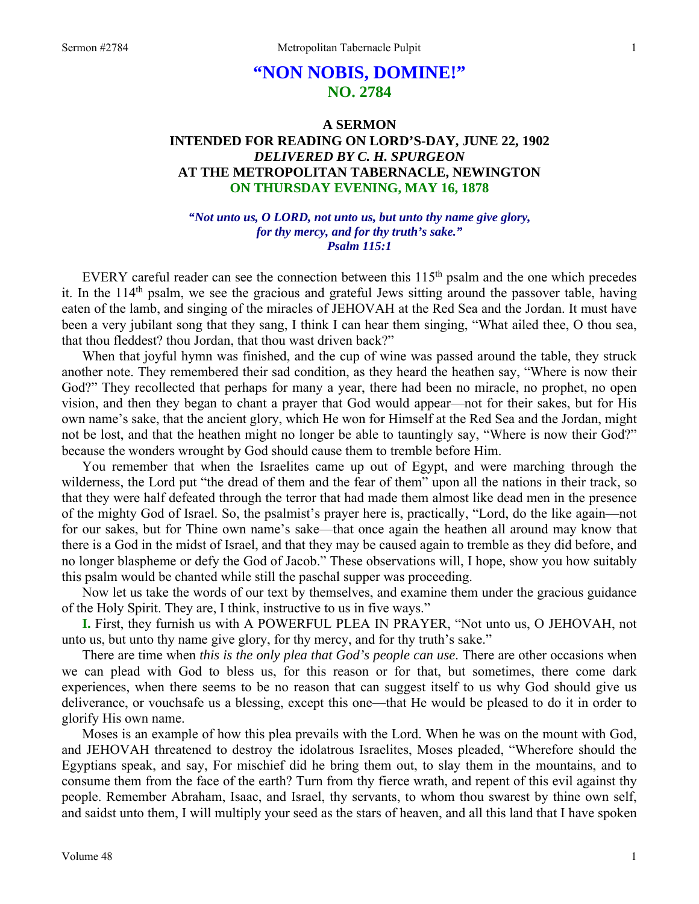# **"NON NOBIS, DOMINE!" NO. 2784**

# **A SERMON INTENDED FOR READING ON LORD'S-DAY, JUNE 22, 1902**  *DELIVERED BY C. H. SPURGEON*  **AT THE METROPOLITAN TABERNACLE, NEWINGTON ON THURSDAY EVENING, MAY 16, 1878**

#### *"Not unto us, O LORD, not unto us, but unto thy name give glory, for thy mercy, and for thy truth's sake." Psalm 115:1*

EVERY careful reader can see the connection between this 115<sup>th</sup> psalm and the one which precedes it. In the  $114<sup>th</sup>$  psalm, we see the gracious and grateful Jews sitting around the passover table, having eaten of the lamb, and singing of the miracles of JEHOVAH at the Red Sea and the Jordan. It must have been a very jubilant song that they sang, I think I can hear them singing, "What ailed thee, O thou sea, that thou fleddest? thou Jordan, that thou wast driven back?"

When that joyful hymn was finished, and the cup of wine was passed around the table, they struck another note. They remembered their sad condition, as they heard the heathen say, "Where is now their God?" They recollected that perhaps for many a year, there had been no miracle, no prophet, no open vision, and then they began to chant a prayer that God would appear—not for their sakes, but for His own name's sake, that the ancient glory, which He won for Himself at the Red Sea and the Jordan, might not be lost, and that the heathen might no longer be able to tauntingly say, "Where is now their God?" because the wonders wrought by God should cause them to tremble before Him.

You remember that when the Israelites came up out of Egypt, and were marching through the wilderness, the Lord put "the dread of them and the fear of them" upon all the nations in their track, so that they were half defeated through the terror that had made them almost like dead men in the presence of the mighty God of Israel. So, the psalmist's prayer here is, practically, "Lord, do the like again—not for our sakes, but for Thine own name's sake—that once again the heathen all around may know that there is a God in the midst of Israel, and that they may be caused again to tremble as they did before, and no longer blaspheme or defy the God of Jacob." These observations will, I hope, show you how suitably this psalm would be chanted while still the paschal supper was proceeding.

Now let us take the words of our text by themselves, and examine them under the gracious guidance of the Holy Spirit. They are, I think, instructive to us in five ways."

**I.** First, they furnish us with A POWERFUL PLEA IN PRAYER, "Not unto us, O JEHOVAH, not unto us, but unto thy name give glory, for thy mercy, and for thy truth's sake."

There are time when *this is the only plea that God's people can use*. There are other occasions when we can plead with God to bless us, for this reason or for that, but sometimes, there come dark experiences, when there seems to be no reason that can suggest itself to us why God should give us deliverance, or vouchsafe us a blessing, except this one—that He would be pleased to do it in order to glorify His own name.

Moses is an example of how this plea prevails with the Lord. When he was on the mount with God, and JEHOVAH threatened to destroy the idolatrous Israelites, Moses pleaded, "Wherefore should the Egyptians speak, and say, For mischief did he bring them out, to slay them in the mountains, and to consume them from the face of the earth? Turn from thy fierce wrath, and repent of this evil against thy people. Remember Abraham, Isaac, and Israel, thy servants, to whom thou swarest by thine own self, and saidst unto them, I will multiply your seed as the stars of heaven, and all this land that I have spoken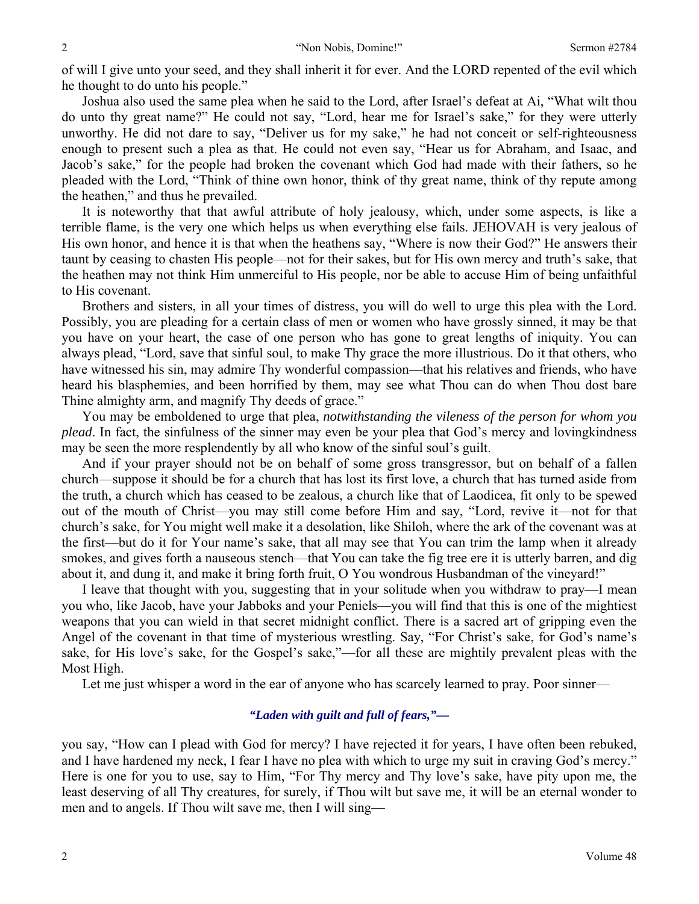of will I give unto your seed, and they shall inherit it for ever. And the LORD repented of the evil which he thought to do unto his people."

Joshua also used the same plea when he said to the Lord, after Israel's defeat at Ai, "What wilt thou do unto thy great name?" He could not say, "Lord, hear me for Israel's sake," for they were utterly unworthy. He did not dare to say, "Deliver us for my sake," he had not conceit or self-righteousness enough to present such a plea as that. He could not even say, "Hear us for Abraham, and Isaac, and Jacob's sake," for the people had broken the covenant which God had made with their fathers, so he pleaded with the Lord, "Think of thine own honor, think of thy great name, think of thy repute among the heathen," and thus he prevailed.

It is noteworthy that that awful attribute of holy jealousy, which, under some aspects, is like a terrible flame, is the very one which helps us when everything else fails. JEHOVAH is very jealous of His own honor, and hence it is that when the heathens say, "Where is now their God?" He answers their taunt by ceasing to chasten His people—not for their sakes, but for His own mercy and truth's sake, that the heathen may not think Him unmerciful to His people, nor be able to accuse Him of being unfaithful to His covenant.

Brothers and sisters, in all your times of distress, you will do well to urge this plea with the Lord. Possibly, you are pleading for a certain class of men or women who have grossly sinned, it may be that you have on your heart, the case of one person who has gone to great lengths of iniquity. You can always plead, "Lord, save that sinful soul, to make Thy grace the more illustrious. Do it that others, who have witnessed his sin, may admire Thy wonderful compassion—that his relatives and friends, who have heard his blasphemies, and been horrified by them, may see what Thou can do when Thou dost bare Thine almighty arm, and magnify Thy deeds of grace."

You may be emboldened to urge that plea, *notwithstanding the vileness of the person for whom you plead*. In fact, the sinfulness of the sinner may even be your plea that God's mercy and lovingkindness may be seen the more resplendently by all who know of the sinful soul's guilt.

And if your prayer should not be on behalf of some gross transgressor, but on behalf of a fallen church—suppose it should be for a church that has lost its first love, a church that has turned aside from the truth, a church which has ceased to be zealous, a church like that of Laodicea, fit only to be spewed out of the mouth of Christ—you may still come before Him and say, "Lord, revive it—not for that church's sake, for You might well make it a desolation, like Shiloh, where the ark of the covenant was at the first—but do it for Your name's sake, that all may see that You can trim the lamp when it already smokes, and gives forth a nauseous stench—that You can take the fig tree ere it is utterly barren, and dig about it, and dung it, and make it bring forth fruit, O You wondrous Husbandman of the vineyard!"

I leave that thought with you, suggesting that in your solitude when you withdraw to pray—I mean you who, like Jacob, have your Jabboks and your Peniels—you will find that this is one of the mightiest weapons that you can wield in that secret midnight conflict. There is a sacred art of gripping even the Angel of the covenant in that time of mysterious wrestling. Say, "For Christ's sake, for God's name's sake, for His love's sake, for the Gospel's sake,"—for all these are mightily prevalent pleas with the Most High.

Let me just whisper a word in the ear of anyone who has scarcely learned to pray. Poor sinner—

#### *"Laden with guilt and full of fears,"—*

you say, "How can I plead with God for mercy? I have rejected it for years, I have often been rebuked, and I have hardened my neck, I fear I have no plea with which to urge my suit in craving God's mercy." Here is one for you to use, say to Him, "For Thy mercy and Thy love's sake, have pity upon me, the least deserving of all Thy creatures, for surely, if Thou wilt but save me, it will be an eternal wonder to men and to angels. If Thou wilt save me, then I will sing—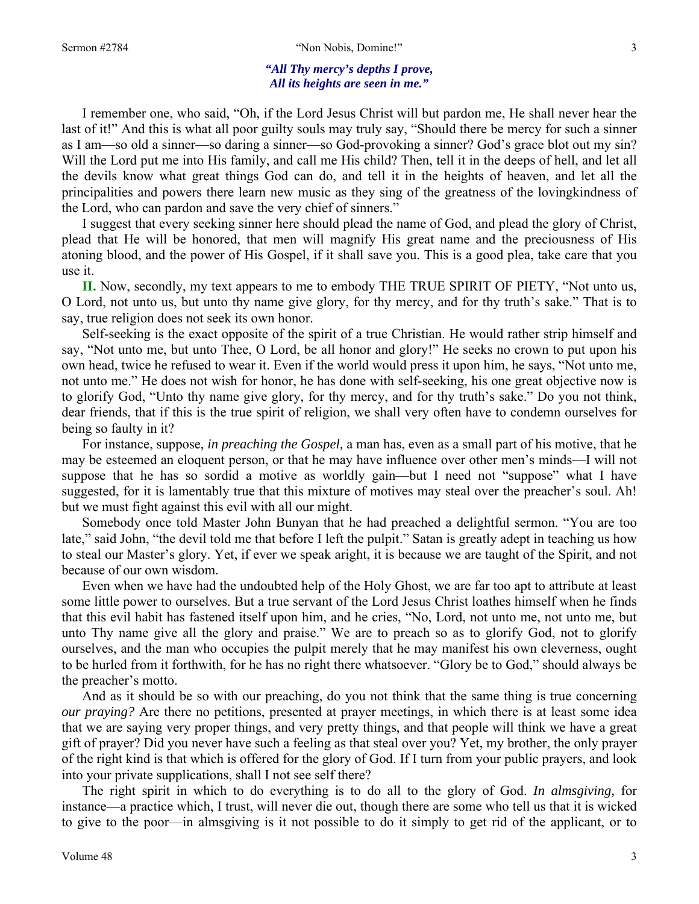#### Sermon #2784 **3** The same of the Sermon and the Sermon and the Sermon and the Sermon and the Sermon and the Sermon and Sermon and Sermon and Sermon and Sermon and Sermon and Sermon and Sermon and Sermon and Sermon and Serm

#### *"All Thy mercy's depths I prove, All its heights are seen in me."*

I remember one, who said, "Oh, if the Lord Jesus Christ will but pardon me, He shall never hear the last of it!" And this is what all poor guilty souls may truly say, "Should there be mercy for such a sinner as I am—so old a sinner—so daring a sinner—so God-provoking a sinner? God's grace blot out my sin? Will the Lord put me into His family, and call me His child? Then, tell it in the deeps of hell, and let all the devils know what great things God can do, and tell it in the heights of heaven, and let all the principalities and powers there learn new music as they sing of the greatness of the lovingkindness of the Lord, who can pardon and save the very chief of sinners."

I suggest that every seeking sinner here should plead the name of God, and plead the glory of Christ, plead that He will be honored, that men will magnify His great name and the preciousness of His atoning blood, and the power of His Gospel, if it shall save you. This is a good plea, take care that you use it.

**II.** Now, secondly, my text appears to me to embody THE TRUE SPIRIT OF PIETY, "Not unto us, O Lord, not unto us, but unto thy name give glory, for thy mercy, and for thy truth's sake." That is to say, true religion does not seek its own honor.

Self-seeking is the exact opposite of the spirit of a true Christian. He would rather strip himself and say, "Not unto me, but unto Thee, O Lord, be all honor and glory!" He seeks no crown to put upon his own head, twice he refused to wear it. Even if the world would press it upon him, he says, "Not unto me, not unto me." He does not wish for honor, he has done with self-seeking, his one great objective now is to glorify God, "Unto thy name give glory, for thy mercy, and for thy truth's sake." Do you not think, dear friends, that if this is the true spirit of religion, we shall very often have to condemn ourselves for being so faulty in it?

For instance, suppose, *in preaching the Gospel,* a man has, even as a small part of his motive, that he may be esteemed an eloquent person, or that he may have influence over other men's minds—I will not suppose that he has so sordid a motive as worldly gain—but I need not "suppose" what I have suggested, for it is lamentably true that this mixture of motives may steal over the preacher's soul. Ah! but we must fight against this evil with all our might.

Somebody once told Master John Bunyan that he had preached a delightful sermon. "You are too late," said John, "the devil told me that before I left the pulpit." Satan is greatly adept in teaching us how to steal our Master's glory. Yet, if ever we speak aright, it is because we are taught of the Spirit, and not because of our own wisdom.

Even when we have had the undoubted help of the Holy Ghost, we are far too apt to attribute at least some little power to ourselves. But a true servant of the Lord Jesus Christ loathes himself when he finds that this evil habit has fastened itself upon him, and he cries, "No, Lord, not unto me, not unto me, but unto Thy name give all the glory and praise." We are to preach so as to glorify God, not to glorify ourselves, and the man who occupies the pulpit merely that he may manifest his own cleverness, ought to be hurled from it forthwith, for he has no right there whatsoever. "Glory be to God," should always be the preacher's motto.

And as it should be so with our preaching, do you not think that the same thing is true concerning *our praying?* Are there no petitions, presented at prayer meetings, in which there is at least some idea that we are saying very proper things, and very pretty things, and that people will think we have a great gift of prayer? Did you never have such a feeling as that steal over you? Yet, my brother, the only prayer of the right kind is that which is offered for the glory of God. If I turn from your public prayers, and look into your private supplications, shall I not see self there?

The right spirit in which to do everything is to do all to the glory of God. *In almsgiving,* for instance—a practice which, I trust, will never die out, though there are some who tell us that it is wicked to give to the poor—in almsgiving is it not possible to do it simply to get rid of the applicant, or to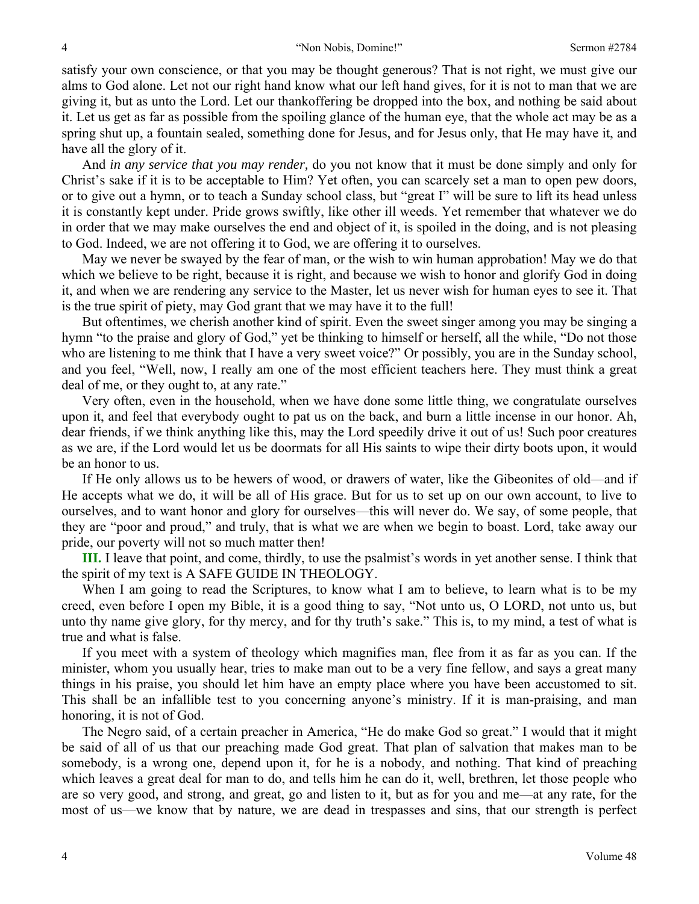satisfy your own conscience, or that you may be thought generous? That is not right, we must give our alms to God alone. Let not our right hand know what our left hand gives, for it is not to man that we are giving it, but as unto the Lord. Let our thankoffering be dropped into the box, and nothing be said about it. Let us get as far as possible from the spoiling glance of the human eye, that the whole act may be as a spring shut up, a fountain sealed, something done for Jesus, and for Jesus only, that He may have it, and have all the glory of it.

And *in any service that you may render,* do you not know that it must be done simply and only for Christ's sake if it is to be acceptable to Him? Yet often, you can scarcely set a man to open pew doors, or to give out a hymn, or to teach a Sunday school class, but "great I" will be sure to lift its head unless it is constantly kept under. Pride grows swiftly, like other ill weeds. Yet remember that whatever we do in order that we may make ourselves the end and object of it, is spoiled in the doing, and is not pleasing to God. Indeed, we are not offering it to God, we are offering it to ourselves.

May we never be swayed by the fear of man, or the wish to win human approbation! May we do that which we believe to be right, because it is right, and because we wish to honor and glorify God in doing it, and when we are rendering any service to the Master, let us never wish for human eyes to see it. That is the true spirit of piety, may God grant that we may have it to the full!

But oftentimes, we cherish another kind of spirit. Even the sweet singer among you may be singing a hymn "to the praise and glory of God," yet be thinking to himself or herself, all the while, "Do not those who are listening to me think that I have a very sweet voice?" Or possibly, you are in the Sunday school, and you feel, "Well, now, I really am one of the most efficient teachers here. They must think a great deal of me, or they ought to, at any rate."

Very often, even in the household, when we have done some little thing, we congratulate ourselves upon it, and feel that everybody ought to pat us on the back, and burn a little incense in our honor. Ah, dear friends, if we think anything like this, may the Lord speedily drive it out of us! Such poor creatures as we are, if the Lord would let us be doormats for all His saints to wipe their dirty boots upon, it would be an honor to us.

If He only allows us to be hewers of wood, or drawers of water, like the Gibeonites of old—and if He accepts what we do, it will be all of His grace. But for us to set up on our own account, to live to ourselves, and to want honor and glory for ourselves—this will never do. We say, of some people, that they are "poor and proud," and truly, that is what we are when we begin to boast. Lord, take away our pride, our poverty will not so much matter then!

**III.** I leave that point, and come, thirdly, to use the psalmist's words in yet another sense. I think that the spirit of my text is A SAFE GUIDE IN THEOLOGY.

When I am going to read the Scriptures, to know what I am to believe, to learn what is to be my creed, even before I open my Bible, it is a good thing to say, "Not unto us, O LORD, not unto us, but unto thy name give glory, for thy mercy, and for thy truth's sake." This is, to my mind, a test of what is true and what is false.

If you meet with a system of theology which magnifies man, flee from it as far as you can. If the minister, whom you usually hear, tries to make man out to be a very fine fellow, and says a great many things in his praise, you should let him have an empty place where you have been accustomed to sit. This shall be an infallible test to you concerning anyone's ministry. If it is man-praising, and man honoring, it is not of God.

The Negro said, of a certain preacher in America, "He do make God so great." I would that it might be said of all of us that our preaching made God great. That plan of salvation that makes man to be somebody, is a wrong one, depend upon it, for he is a nobody, and nothing. That kind of preaching which leaves a great deal for man to do, and tells him he can do it, well, brethren, let those people who are so very good, and strong, and great, go and listen to it, but as for you and me—at any rate, for the most of us—we know that by nature, we are dead in trespasses and sins, that our strength is perfect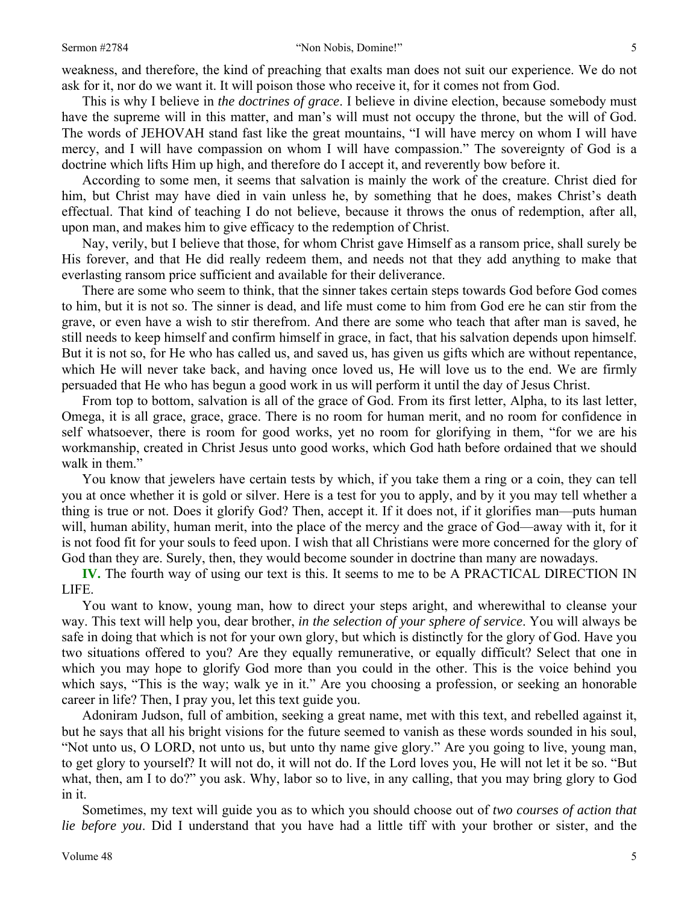weakness, and therefore, the kind of preaching that exalts man does not suit our experience. We do not ask for it, nor do we want it. It will poison those who receive it, for it comes not from God.

This is why I believe in *the doctrines of grace*. I believe in divine election, because somebody must have the supreme will in this matter, and man's will must not occupy the throne, but the will of God. The words of JEHOVAH stand fast like the great mountains, "I will have mercy on whom I will have mercy, and I will have compassion on whom I will have compassion." The sovereignty of God is a doctrine which lifts Him up high, and therefore do I accept it, and reverently bow before it.

According to some men, it seems that salvation is mainly the work of the creature. Christ died for him, but Christ may have died in vain unless he, by something that he does, makes Christ's death effectual. That kind of teaching I do not believe, because it throws the onus of redemption, after all, upon man, and makes him to give efficacy to the redemption of Christ.

Nay, verily, but I believe that those, for whom Christ gave Himself as a ransom price, shall surely be His forever, and that He did really redeem them, and needs not that they add anything to make that everlasting ransom price sufficient and available for their deliverance.

There are some who seem to think, that the sinner takes certain steps towards God before God comes to him, but it is not so. The sinner is dead, and life must come to him from God ere he can stir from the grave, or even have a wish to stir therefrom. And there are some who teach that after man is saved, he still needs to keep himself and confirm himself in grace, in fact, that his salvation depends upon himself. But it is not so, for He who has called us, and saved us, has given us gifts which are without repentance, which He will never take back, and having once loved us, He will love us to the end. We are firmly persuaded that He who has begun a good work in us will perform it until the day of Jesus Christ.

From top to bottom, salvation is all of the grace of God. From its first letter, Alpha, to its last letter, Omega, it is all grace, grace, grace. There is no room for human merit, and no room for confidence in self whatsoever, there is room for good works, yet no room for glorifying in them, "for we are his workmanship, created in Christ Jesus unto good works, which God hath before ordained that we should walk in them."

You know that jewelers have certain tests by which, if you take them a ring or a coin, they can tell you at once whether it is gold or silver. Here is a test for you to apply, and by it you may tell whether a thing is true or not. Does it glorify God? Then, accept it. If it does not, if it glorifies man—puts human will, human ability, human merit, into the place of the mercy and the grace of God—away with it, for it is not food fit for your souls to feed upon. I wish that all Christians were more concerned for the glory of God than they are. Surely, then, they would become sounder in doctrine than many are nowadays.

**IV.** The fourth way of using our text is this. It seems to me to be A PRACTICAL DIRECTION IN LIFE.

You want to know, young man, how to direct your steps aright, and wherewithal to cleanse your way. This text will help you, dear brother, *in the selection of your sphere of service*. You will always be safe in doing that which is not for your own glory, but which is distinctly for the glory of God. Have you two situations offered to you? Are they equally remunerative, or equally difficult? Select that one in which you may hope to glorify God more than you could in the other. This is the voice behind you which says, "This is the way; walk ye in it." Are you choosing a profession, or seeking an honorable career in life? Then, I pray you, let this text guide you.

Adoniram Judson, full of ambition, seeking a great name, met with this text, and rebelled against it, but he says that all his bright visions for the future seemed to vanish as these words sounded in his soul, "Not unto us, O LORD, not unto us, but unto thy name give glory." Are you going to live, young man, to get glory to yourself? It will not do, it will not do. If the Lord loves you, He will not let it be so. "But what, then, am I to do?" you ask. Why, labor so to live, in any calling, that you may bring glory to God in it.

Sometimes, my text will guide you as to which you should choose out of *two courses of action that lie before you*. Did I understand that you have had a little tiff with your brother or sister, and the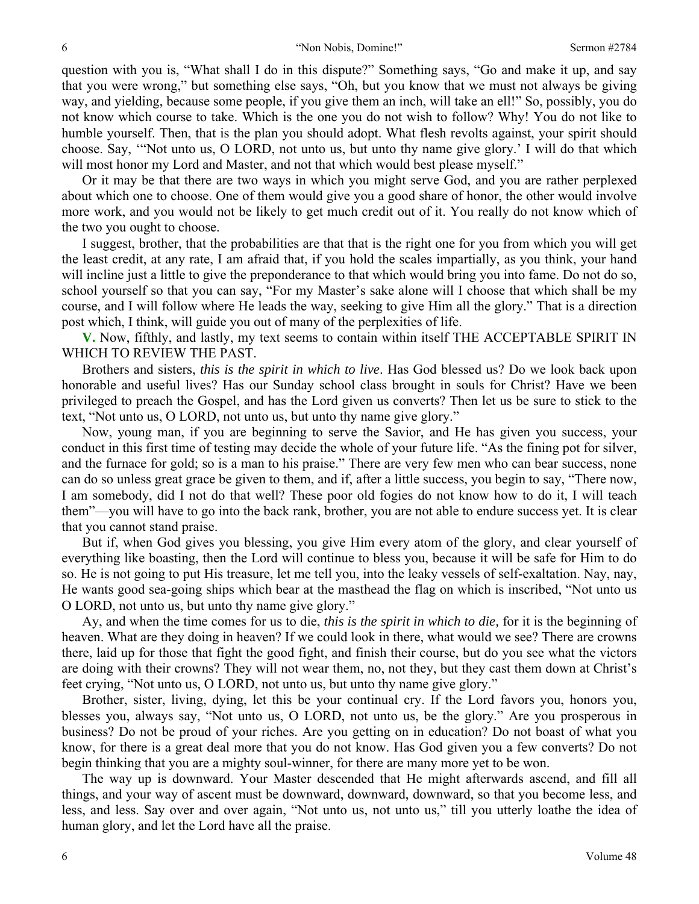question with you is, "What shall I do in this dispute?" Something says, "Go and make it up, and say that you were wrong," but something else says, "Oh, but you know that we must not always be giving way, and yielding, because some people, if you give them an inch, will take an ell!" So, possibly, you do not know which course to take. Which is the one you do not wish to follow? Why! You do not like to humble yourself. Then, that is the plan you should adopt. What flesh revolts against, your spirit should choose. Say, '"Not unto us, O LORD, not unto us, but unto thy name give glory.' I will do that which will most honor my Lord and Master, and not that which would best please myself."

Or it may be that there are two ways in which you might serve God, and you are rather perplexed about which one to choose. One of them would give you a good share of honor, the other would involve more work, and you would not be likely to get much credit out of it. You really do not know which of the two you ought to choose.

I suggest, brother, that the probabilities are that that is the right one for you from which you will get the least credit, at any rate, I am afraid that, if you hold the scales impartially, as you think, your hand will incline just a little to give the preponderance to that which would bring you into fame. Do not do so, school yourself so that you can say, "For my Master's sake alone will I choose that which shall be my course, and I will follow where He leads the way, seeking to give Him all the glory." That is a direction post which, I think, will guide you out of many of the perplexities of life.

**V.** Now, fifthly, and lastly, my text seems to contain within itself THE ACCEPTABLE SPIRIT IN WHICH TO REVIEW THE PAST.

Brothers and sisters, *this is the spirit in which to live*. Has God blessed us? Do we look back upon honorable and useful lives? Has our Sunday school class brought in souls for Christ? Have we been privileged to preach the Gospel, and has the Lord given us converts? Then let us be sure to stick to the text, "Not unto us, O LORD, not unto us, but unto thy name give glory."

Now, young man, if you are beginning to serve the Savior, and He has given you success, your conduct in this first time of testing may decide the whole of your future life. "As the fining pot for silver, and the furnace for gold; so is a man to his praise." There are very few men who can bear success, none can do so unless great grace be given to them, and if, after a little success, you begin to say, "There now, I am somebody, did I not do that well? These poor old fogies do not know how to do it, I will teach them"—you will have to go into the back rank, brother, you are not able to endure success yet. It is clear that you cannot stand praise.

But if, when God gives you blessing, you give Him every atom of the glory, and clear yourself of everything like boasting, then the Lord will continue to bless you, because it will be safe for Him to do so. He is not going to put His treasure, let me tell you, into the leaky vessels of self-exaltation. Nay, nay, He wants good sea-going ships which bear at the masthead the flag on which is inscribed, "Not unto us O LORD, not unto us, but unto thy name give glory."

Ay, and when the time comes for us to die, *this is the spirit in which to die,* for it is the beginning of heaven. What are they doing in heaven? If we could look in there, what would we see? There are crowns there, laid up for those that fight the good fight, and finish their course, but do you see what the victors are doing with their crowns? They will not wear them, no, not they, but they cast them down at Christ's feet crying, "Not unto us, O LORD, not unto us, but unto thy name give glory."

Brother, sister, living, dying, let this be your continual cry. If the Lord favors you, honors you, blesses you, always say, "Not unto us, O LORD, not unto us, be the glory." Are you prosperous in business? Do not be proud of your riches. Are you getting on in education? Do not boast of what you know, for there is a great deal more that you do not know. Has God given you a few converts? Do not begin thinking that you are a mighty soul-winner, for there are many more yet to be won.

The way up is downward. Your Master descended that He might afterwards ascend, and fill all things, and your way of ascent must be downward, downward, downward, so that you become less, and less, and less. Say over and over again, "Not unto us, not unto us," till you utterly loathe the idea of human glory, and let the Lord have all the praise.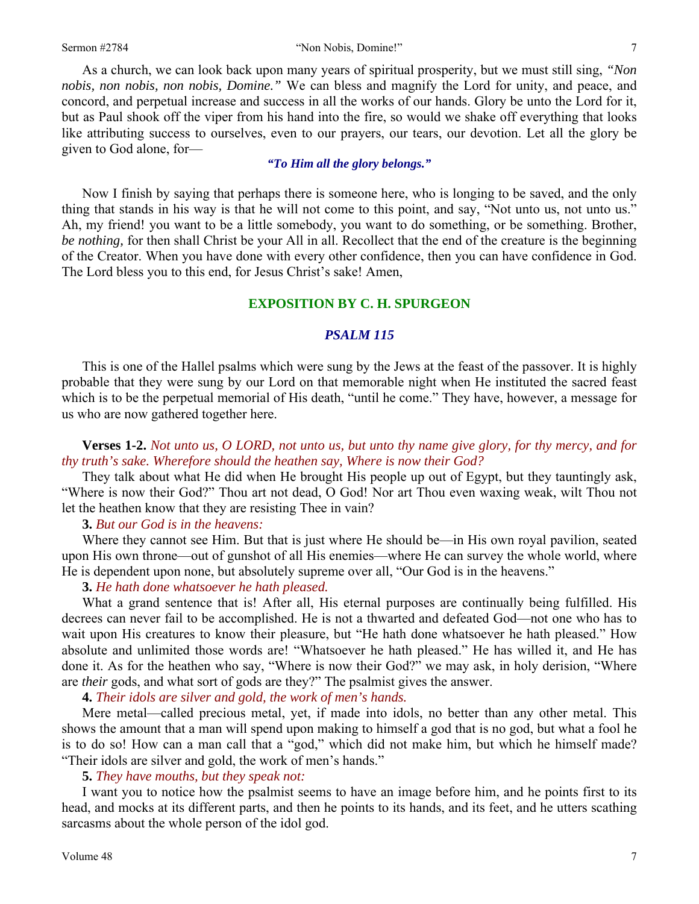given to God alone, for—

As a church, we can look back upon many years of spiritual prosperity, but we must still sing, *"Non nobis, non nobis, non nobis, Domine."* We can bless and magnify the Lord for unity, and peace, and concord, and perpetual increase and success in all the works of our hands. Glory be unto the Lord for it, but as Paul shook off the viper from his hand into the fire, so would we shake off everything that looks like attributing success to ourselves, even to our prayers, our tears, our devotion. Let all the glory be

#### *"To Him all the glory belongs."*

Now I finish by saying that perhaps there is someone here, who is longing to be saved, and the only thing that stands in his way is that he will not come to this point, and say, "Not unto us, not unto us." Ah, my friend! you want to be a little somebody, you want to do something, or be something. Brother, *be nothing,* for then shall Christ be your All in all. Recollect that the end of the creature is the beginning of the Creator. When you have done with every other confidence, then you can have confidence in God. The Lord bless you to this end, for Jesus Christ's sake! Amen,

### **EXPOSITION BY C. H. SPURGEON**

#### *PSALM 115*

This is one of the Hallel psalms which were sung by the Jews at the feast of the passover. It is highly probable that they were sung by our Lord on that memorable night when He instituted the sacred feast which is to be the perpetual memorial of His death, "until he come." They have, however, a message for us who are now gathered together here.

## **Verses 1-2.** *Not unto us, O LORD, not unto us, but unto thy name give glory, for thy mercy, and for thy truth's sake. Wherefore should the heathen say, Where is now their God?*

They talk about what He did when He brought His people up out of Egypt, but they tauntingly ask, "Where is now their God?" Thou art not dead, O God! Nor art Thou even waxing weak, wilt Thou not let the heathen know that they are resisting Thee in vain?

#### **3.** *But our God is in the heavens:*

Where they cannot see Him. But that is just where He should be—in His own royal pavilion, seated upon His own throne—out of gunshot of all His enemies—where He can survey the whole world, where He is dependent upon none, but absolutely supreme over all, "Our God is in the heavens."

#### **3.** *He hath done whatsoever he hath pleased.*

What a grand sentence that is! After all, His eternal purposes are continually being fulfilled. His decrees can never fail to be accomplished. He is not a thwarted and defeated God—not one who has to wait upon His creatures to know their pleasure, but "He hath done whatsoever he hath pleased." How absolute and unlimited those words are! "Whatsoever he hath pleased." He has willed it, and He has done it. As for the heathen who say, "Where is now their God?" we may ask, in holy derision, "Where are *their* gods, and what sort of gods are they?" The psalmist gives the answer.

**4.** *Their idols are silver and gold, the work of men's hands.* 

Mere metal—called precious metal, yet, if made into idols, no better than any other metal. This shows the amount that a man will spend upon making to himself a god that is no god, but what a fool he is to do so! How can a man call that a "god," which did not make him, but which he himself made? "Their idols are silver and gold, the work of men's hands."

#### **5.** *They have mouths, but they speak not:*

I want you to notice how the psalmist seems to have an image before him, and he points first to its head, and mocks at its different parts, and then he points to its hands, and its feet, and he utters scathing sarcasms about the whole person of the idol god.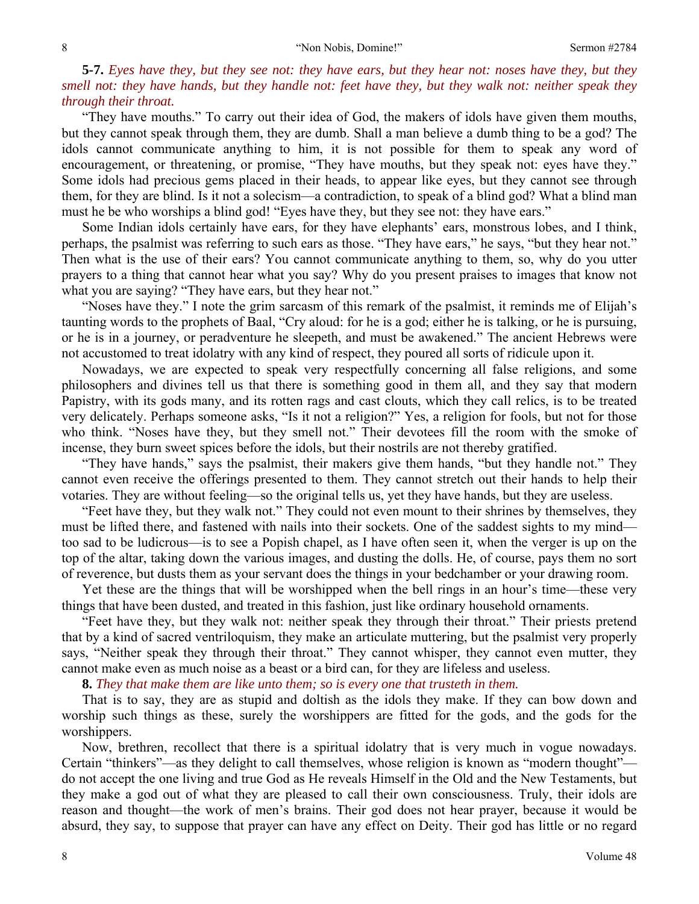**5-7.** *Eyes have they, but they see not: they have ears, but they hear not: noses have they, but they smell not: they have hands, but they handle not: feet have they, but they walk not: neither speak they through their throat.* 

"They have mouths." To carry out their idea of God, the makers of idols have given them mouths, but they cannot speak through them, they are dumb. Shall a man believe a dumb thing to be a god? The idols cannot communicate anything to him, it is not possible for them to speak any word of encouragement, or threatening, or promise, "They have mouths, but they speak not: eyes have they." Some idols had precious gems placed in their heads, to appear like eyes, but they cannot see through them, for they are blind. Is it not a solecism—a contradiction, to speak of a blind god? What a blind man must he be who worships a blind god! "Eyes have they, but they see not: they have ears."

Some Indian idols certainly have ears, for they have elephants' ears, monstrous lobes, and I think, perhaps, the psalmist was referring to such ears as those. "They have ears," he says, "but they hear not." Then what is the use of their ears? You cannot communicate anything to them, so, why do you utter prayers to a thing that cannot hear what you say? Why do you present praises to images that know not what you are saying? "They have ears, but they hear not."

"Noses have they." I note the grim sarcasm of this remark of the psalmist, it reminds me of Elijah's taunting words to the prophets of Baal, "Cry aloud: for he is a god; either he is talking, or he is pursuing, or he is in a journey, or peradventure he sleepeth, and must be awakened." The ancient Hebrews were not accustomed to treat idolatry with any kind of respect, they poured all sorts of ridicule upon it.

Nowadays, we are expected to speak very respectfully concerning all false religions, and some philosophers and divines tell us that there is something good in them all, and they say that modern Papistry, with its gods many, and its rotten rags and cast clouts, which they call relics, is to be treated very delicately. Perhaps someone asks, "Is it not a religion?" Yes, a religion for fools, but not for those who think. "Noses have they, but they smell not." Their devotees fill the room with the smoke of incense, they burn sweet spices before the idols, but their nostrils are not thereby gratified.

"They have hands," says the psalmist, their makers give them hands, "but they handle not." They cannot even receive the offerings presented to them. They cannot stretch out their hands to help their votaries. They are without feeling—so the original tells us, yet they have hands, but they are useless.

"Feet have they, but they walk not." They could not even mount to their shrines by themselves, they must be lifted there, and fastened with nails into their sockets. One of the saddest sights to my mind too sad to be ludicrous—is to see a Popish chapel, as I have often seen it, when the verger is up on the top of the altar, taking down the various images, and dusting the dolls. He, of course, pays them no sort of reverence, but dusts them as your servant does the things in your bedchamber or your drawing room.

Yet these are the things that will be worshipped when the bell rings in an hour's time—these very things that have been dusted, and treated in this fashion, just like ordinary household ornaments.

"Feet have they, but they walk not: neither speak they through their throat." Their priests pretend that by a kind of sacred ventriloquism, they make an articulate muttering, but the psalmist very properly says, "Neither speak they through their throat." They cannot whisper, they cannot even mutter, they cannot make even as much noise as a beast or a bird can, for they are lifeless and useless.

**8.** *They that make them are like unto them; so is every one that trusteth in them.* 

That is to say, they are as stupid and doltish as the idols they make. If they can bow down and worship such things as these, surely the worshippers are fitted for the gods, and the gods for the worshippers.

Now, brethren, recollect that there is a spiritual idolatry that is very much in vogue nowadays. Certain "thinkers"—as they delight to call themselves, whose religion is known as "modern thought" do not accept the one living and true God as He reveals Himself in the Old and the New Testaments, but they make a god out of what they are pleased to call their own consciousness. Truly, their idols are reason and thought—the work of men's brains. Their god does not hear prayer, because it would be absurd, they say, to suppose that prayer can have any effect on Deity. Their god has little or no regard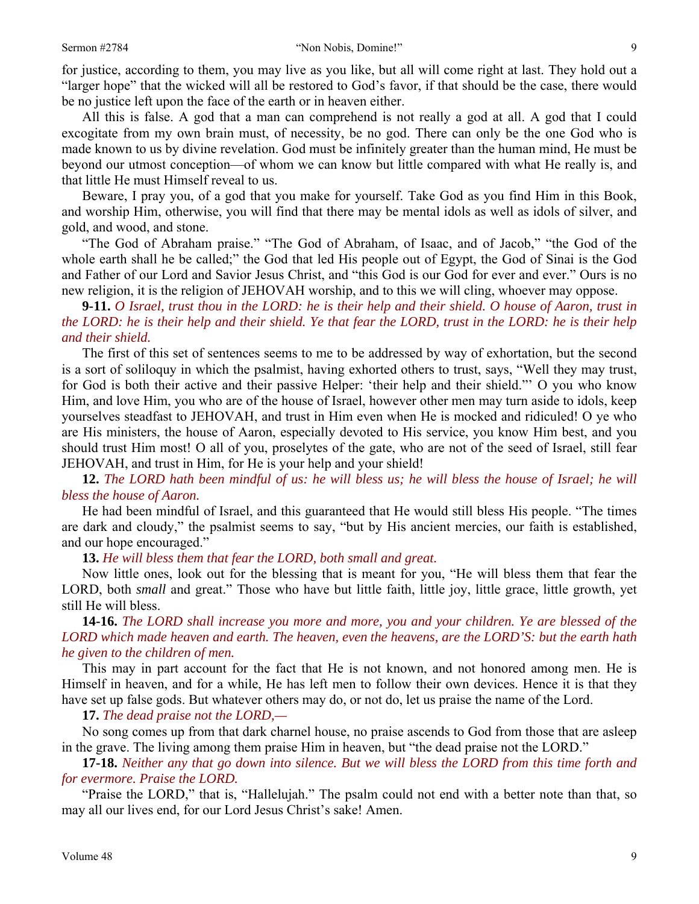for justice, according to them, you may live as you like, but all will come right at last. They hold out a "larger hope" that the wicked will all be restored to God's favor, if that should be the case, there would be no justice left upon the face of the earth or in heaven either.

All this is false. A god that a man can comprehend is not really a god at all. A god that I could excogitate from my own brain must, of necessity, be no god. There can only be the one God who is made known to us by divine revelation. God must be infinitely greater than the human mind, He must be beyond our utmost conception—of whom we can know but little compared with what He really is, and that little He must Himself reveal to us.

Beware, I pray you, of a god that you make for yourself. Take God as you find Him in this Book, and worship Him, otherwise, you will find that there may be mental idols as well as idols of silver, and gold, and wood, and stone.

"The God of Abraham praise." "The God of Abraham, of Isaac, and of Jacob," "the God of the whole earth shall he be called;" the God that led His people out of Egypt, the God of Sinai is the God and Father of our Lord and Savior Jesus Christ, and "this God is our God for ever and ever." Ours is no new religion, it is the religion of JEHOVAH worship, and to this we will cling, whoever may oppose.

**9-11.** *O Israel, trust thou in the LORD: he is their help and their shield. O house of Aaron, trust in the LORD: he is their help and their shield. Ye that fear the LORD, trust in the LORD: he is their help and their shield.* 

The first of this set of sentences seems to me to be addressed by way of exhortation, but the second is a sort of soliloquy in which the psalmist, having exhorted others to trust, says, "Well they may trust, for God is both their active and their passive Helper: 'their help and their shield."' O you who know Him, and love Him, you who are of the house of Israel, however other men may turn aside to idols, keep yourselves steadfast to JEHOVAH, and trust in Him even when He is mocked and ridiculed! O ye who are His ministers, the house of Aaron, especially devoted to His service, you know Him best, and you should trust Him most! O all of you, proselytes of the gate, who are not of the seed of Israel, still fear JEHOVAH, and trust in Him, for He is your help and your shield!

**12.** *The LORD hath been mindful of us: he will bless us; he will bless the house of Israel; he will bless the house of Aaron.* 

He had been mindful of Israel, and this guaranteed that He would still bless His people. "The times are dark and cloudy," the psalmist seems to say, "but by His ancient mercies, our faith is established, and our hope encouraged."

**13.** *He will bless them that fear the LORD, both small and great.* 

Now little ones, look out for the blessing that is meant for you, "He will bless them that fear the LORD, both *small* and great." Those who have but little faith, little joy, little grace, little growth, yet still He will bless.

**14-16.** *The LORD shall increase you more and more, you and your children. Ye are blessed of the LORD which made heaven and earth. The heaven, even the heavens, are the LORD'S: but the earth hath he given to the children of men.* 

This may in part account for the fact that He is not known, and not honored among men. He is Himself in heaven, and for a while, He has left men to follow their own devices. Hence it is that they have set up false gods. But whatever others may do, or not do, let us praise the name of the Lord.

**17.** *The dead praise not the LORD,—* 

No song comes up from that dark charnel house, no praise ascends to God from those that are asleep in the grave. The living among them praise Him in heaven, but "the dead praise not the LORD."

**17-18.** *Neither any that go down into silence. But we will bless the LORD from this time forth and for evermore. Praise the LORD.* 

"Praise the LORD," that is, "Hallelujah." The psalm could not end with a better note than that, so may all our lives end, for our Lord Jesus Christ's sake! Amen.